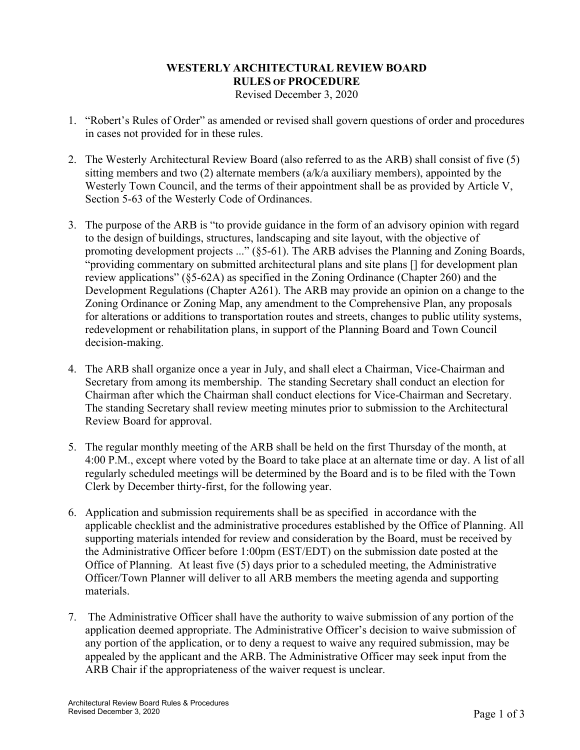## **WESTERLY ARCHITECTURAL REVIEW BOARD RULES OF PROCEDURE**

Revised December 3, 2020

- 1. "Robert's Rules of Order" as amended or revised shall govern questions of order and procedures in cases not provided for in these rules.
- 2. The Westerly Architectural Review Board (also referred to as the ARB) shall consist of five (5) sitting members and two (2) alternate members ( $a/k/a$  auxiliary members), appointed by the Westerly Town Council, and the terms of their appointment shall be as provided by Article V, Section 5-63 of the Westerly Code of Ordinances.
- 3. The purpose of the ARB is "to provide guidance in the form of an advisory opinion with regard to the design of buildings, structures, landscaping and site layout, with the objective of promoting development projects ..." (§5-61). The ARB advises the Planning and Zoning Boards, "providing commentary on submitted architectural plans and site plans [] for development plan review applications" (§5-62A) as specified in the Zoning Ordinance (Chapter 260) and the Development Regulations (Chapter A261). The ARB may provide an opinion on a change to the Zoning Ordinance or Zoning Map, any amendment to the Comprehensive Plan, any proposals for alterations or additions to transportation routes and streets, changes to public utility systems, redevelopment or rehabilitation plans, in support of the Planning Board and Town Council decision-making.
- 4. The ARB shall organize once a year in July, and shall elect a Chairman, Vice-Chairman and Secretary from among its membership. The standing Secretary shall conduct an election for Chairman after which the Chairman shall conduct elections for Vice-Chairman and Secretary. The standing Secretary shall review meeting minutes prior to submission to the Architectural Review Board for approval.
- 5. The regular monthly meeting of the ARB shall be held on the first Thursday of the month, at 4:00 P.M., except where voted by the Board to take place at an alternate time or day. A list of all regularly scheduled meetings will be determined by the Board and is to be filed with the Town Clerk by December thirty-first, for the following year.
- 6. Application and submission requirements shall be as specified in accordance with the applicable checklist and the administrative procedures established by the Office of Planning. All supporting materials intended for review and consideration by the Board, must be received by the Administrative Officer before 1:00pm (EST/EDT) on the submission date posted at the Office of Planning. At least five (5) days prior to a scheduled meeting, the Administrative Officer/Town Planner will deliver to all ARB members the meeting agenda and supporting materials.
- 7. The Administrative Officer shall have the authority to waive submission of any portion of the application deemed appropriate. The Administrative Officer's decision to waive submission of any portion of the application, or to deny a request to waive any required submission, may be appealed by the applicant and the ARB. The Administrative Officer may seek input from the ARB Chair if the appropriateness of the waiver request is unclear.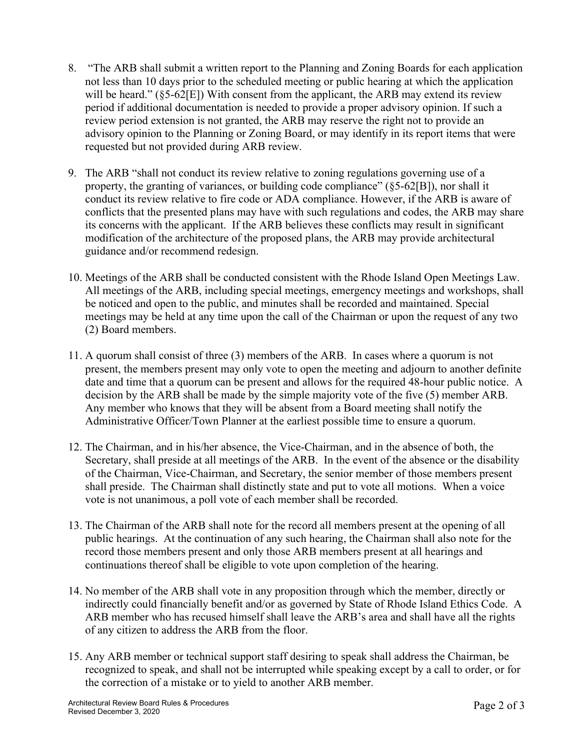- 8. "The ARB shall submit a written report to the Planning and Zoning Boards for each application not less than 10 days prior to the scheduled meeting or public hearing at which the application will be heard." ( $\S$ 5-62[E]) With consent from the applicant, the ARB may extend its review period if additional documentation is needed to provide a proper advisory opinion. If such a review period extension is not granted, the ARB may reserve the right not to provide an advisory opinion to the Planning or Zoning Board, or may identify in its report items that were requested but not provided during ARB review.
- 9. The ARB "shall not conduct its review relative to zoning regulations governing use of a property, the granting of variances, or building code compliance" (§5-62[B]), nor shall it conduct its review relative to fire code or ADA compliance. However, if the ARB is aware of conflicts that the presented plans may have with such regulations and codes, the ARB may share its concerns with the applicant. If the ARB believes these conflicts may result in significant modification of the architecture of the proposed plans, the ARB may provide architectural guidance and/or recommend redesign.
- 10. Meetings of the ARB shall be conducted consistent with the Rhode Island Open Meetings Law. All meetings of the ARB, including special meetings, emergency meetings and workshops, shall be noticed and open to the public, and minutes shall be recorded and maintained. Special meetings may be held at any time upon the call of the Chairman or upon the request of any two (2) Board members.
- 11. A quorum shall consist of three (3) members of the ARB. In cases where a quorum is not present, the members present may only vote to open the meeting and adjourn to another definite date and time that a quorum can be present and allows for the required 48-hour public notice. A decision by the ARB shall be made by the simple majority vote of the five (5) member ARB. Any member who knows that they will be absent from a Board meeting shall notify the Administrative Officer/Town Planner at the earliest possible time to ensure a quorum.
- 12. The Chairman, and in his/her absence, the Vice-Chairman, and in the absence of both, the Secretary, shall preside at all meetings of the ARB. In the event of the absence or the disability of the Chairman, Vice-Chairman, and Secretary, the senior member of those members present shall preside. The Chairman shall distinctly state and put to vote all motions. When a voice vote is not unanimous, a poll vote of each member shall be recorded.
- 13. The Chairman of the ARB shall note for the record all members present at the opening of all public hearings. At the continuation of any such hearing, the Chairman shall also note for the record those members present and only those ARB members present at all hearings and continuations thereof shall be eligible to vote upon completion of the hearing.
- 14. No member of the ARB shall vote in any proposition through which the member, directly or indirectly could financially benefit and/or as governed by State of Rhode Island Ethics Code. A ARB member who has recused himself shall leave the ARB's area and shall have all the rights of any citizen to address the ARB from the floor.
- 15. Any ARB member or technical support staff desiring to speak shall address the Chairman, be recognized to speak, and shall not be interrupted while speaking except by a call to order, or for the correction of a mistake or to yield to another ARB member.